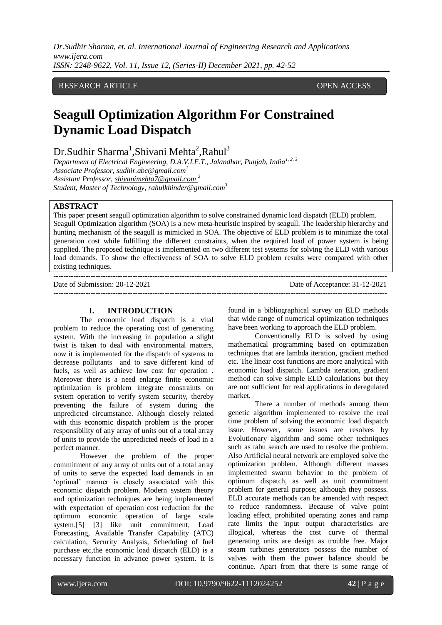# RESEARCH ARTICLE OPEN ACCESS

# **Seagull Optimization Algorithm For Constrained Dynamic Load Dispatch**

 $Dr.Sudhir Sharma<sup>1</sup>,Shivani Mehta<sup>2</sup>,Rahul<sup>3</sup>$ 

*Department of Electrical Engineering, D.A.V.I.E.T., Jalandhar, Punjab, India1, 2, 3 Associate Professor[, sudhir.abc@gmail.com](mailto:sudhir.abc@gmail.com)<sup>1</sup>*

*Assistant Professor[, shivanimehta7@gmail.com](mailto:shivanimehta7@gmail.com%201) <sup>2</sup>*

*Student, Master of Technology, rahulkhinder@gmail.com<sup>3</sup>*

#### **ABSTRACT**

This paper present seagull optimization algorithm to solve constrained dynamic load dispatch (ELD) problem. Seagull Optimization algorithm (SOA) is a new meta-heuristic inspired by seagull. The leadership hierarchy and hunting mechanism of the seagull is mimicked in SOA. The objective of ELD problem is to minimize the total generation cost while fulfilling the different constraints, when the required load of power system is being supplied. The proposed technique is implemented on two different test systems for solving the ELD with various load demands. To show the effectiveness of SOA to solve ELD problem results were compared with other existing techniques.

--------------------------------------------------------------------------------------------------------------------------------------- Date of Submission: 20-12-2021 Date of Acceptance: 31-12-2021 ---------------------------------------------------------------------------------------------------------------------------------------

#### **I. INTRODUCTION**

The economic load dispatch is a vital problem to reduce the operating cost of generating system. With the increasing in population a slight twist is taken to deal with environmental matters, now it is implemented for the dispatch of systems to decrease pollutants and to save different kind of fuels, as well as achieve low cost for operation . Moreover there is a need enlarge finite economic optimization is problem integrate constraints on system operation to verify system security, thereby preventing the failure of system during the unpredicted circumstance. Although closely related with this economic dispatch problem is the proper responsibility of any array of units out of a total array of units to provide the unpredicted needs of load in a perfect manner.

However the problem of the proper commitment of any array of units out of a total array of units to serve the expected load demands in an 'optimal' manner is closely associated with this economic dispatch problem. Modern system theory and optimization techniques are being implemented with expectation of operation cost reduction for the optimum economic operation of large scale system.[5] [3] like unit commitment, Load Forecasting, Available Transfer Capability (ATC) calculation, Security Analysis, Scheduling of fuel purchase etc,the economic load dispatch (ELD) is a necessary function in advance power system. It is

found in a bibliographical survey on ELD methods that wide range of numerical optimization techniques have been working to approach the ELD problem.

Conventionally ELD is solved by using mathematical programming based on optimization techniques that are lambda iteration, gradient method etc. The linear cost functions are more analytical with economic load dispatch. Lambda iteration, gradient method can solve simple ELD calculations but they are not sufficient for real applications in deregulated market.

There a number of methods among them genetic algorithm implemented to resolve the real time problem of solving the economic load dispatch issue. However, some issues are resolves by Evolutionary algorithm and some other techniques such as tabu search are used to resolve the problem. Also Artificial neural network are employed solve the optimization problem. Although different masses implemented swarm behavior to the problem of optimum dispatch, as well as unit commitment problem for general purpose; although they possess. ELD accurate methods can be amended with respect to reduce randomness. Because of valve point loading effect, prohibited operating zones and ramp rate limits the input output characteristics are illogical, whereas the cost curve of thermal generating units are design as trouble free. Major steam turbines generators possess the number of valves with them the power balance should be continue. Apart from that there is some range of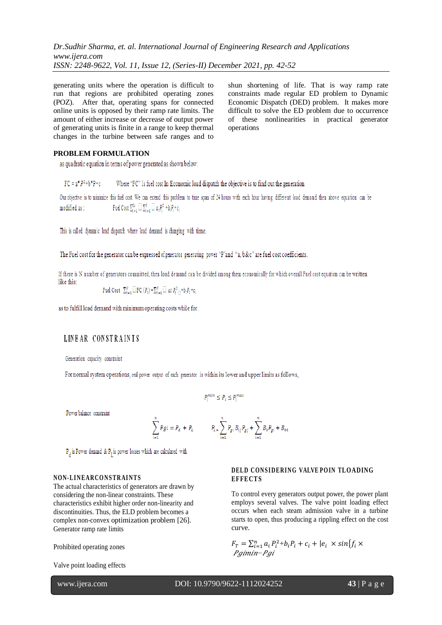generating units where the operation is difficult to run that regions are prohibited operating zones (POZ). After that, operating spans for connected online units is opposed by their ramp rate limits. The amount of either increase or decrease of output power of generating units is finite in a range to keep thermal changes in the turbine between safe ranges and to

shun shortening of life. That is way ramp rate constraints made regular ED problem to Dynamic Economic Dispatch (DED) problem. It makes more difficult to solve the ED problem due to occurrence of these nonlinearities in practical generator operations

#### **PROBLEM FORMULATION**

as quadratic equation in terms of power generated as shown below:

 $FC = a*P^2 + b*P + c$ Where "FC" Is fuel cost In Economic load dispatch the objective is to find out the generation

Our objective is to minimize this fuel cost. We can extend this problem to time span of 24 hours with each hour having different load demand then above equation can be Fuel Cost  $\sum_{i=1}^{24} \square \sum_{i=1}^{N} \square a_i P_i^2 + b_i P_i + c_i$ modified as :

This is called dynamic load dispatch where load demand is changing with time.

The Fuel cost for the generator can be expressed of generator generating power "P"and "a, b&c" are fuel cost coefficients.

If there is N number of generators committed, then load demand can be divided among them economically for which overall Fuel cost equation can be written like this:

Fuel Cost  $\sum_{i=1}^{N} \equiv FC(P_i) = \sum_{i=1}^{N} \equiv ai \ P_i^2 = b_i P_i + c_i$ 

as to fulfill load demand with minimum operating costs while for.

# LINEAR CONSTRAINTS

Generation capacity constraint

For normal system operations, real power output of each generator is within its lower and upper limits as follows,

$$
P_i^{min} \leq P_i \leq P_i^{max}
$$

Power balance constraint

$$
\sum_{i=1}^{n} Pgi = P_d + P_L \qquad P_{L} = \sum_{i=1}^{n} P_{gi} B_{ij} P_{gj} + \sum_{i=1}^{n} B_o P_{gi} + B_{oo}
$$

 $P_A$  is Power demand &  $P_T$  is power losses which are calculated with

#### **NON-LINEARCONSTRAINTS**

The actual characteristics of generators are drawn by considering the non-linear constraints. These characteristics exhibit higher order non-linearity and discontinuities. Thus, the ELD problem becomes a complex non-convex optimization problem [26]. Generator ramp rate limits

Prohibited operating zones

Valve point loading effects

**DELD CONSIDERING VALVE POIN TLOADING EFFE CT S**

To control every generators output power, the power plant employs several valves. The valve point loading effect occurs when each steam admission valve in a turbine starts to open, thus producing a rippling effect on the cost curve.

$$
F_T = \sum_{i=1}^n a_i P_i^2 + b_i P_i + c_i + |e_i \times \sin\{f_i \times \text{Pgimin} - \text{Pgi}\}\
$$

www.ijera.com DOI: 10.9790/9622-1112024252 **43** | P a g e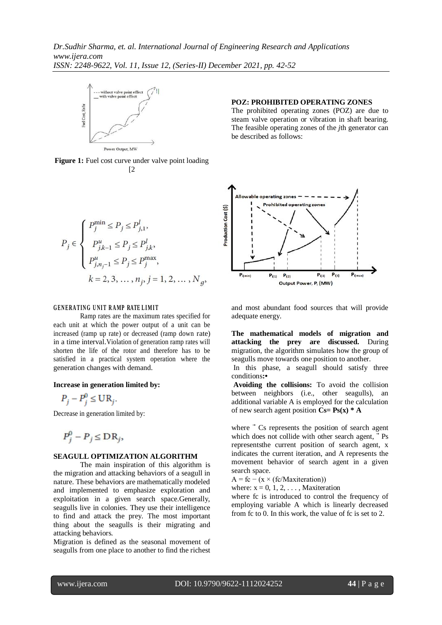

**Figure 1:** Fuel cost curve under valve point loading [2]

$$
P_j \in \left\{ \begin{array}{l} P_j^{\min} \leq P_j \leq P_{j,1}^l, \\[1.5ex] P_{j,k-1}^u \leq P_j \leq P_{j,k}^l, \\[1.5ex] P_{j,n_j-1}^u \leq P_j \leq P_j^{\max}, \\[1.5ex] k=2,3,\ldots,n_j, j=1,2,\ldots,N_g, \end{array} \right.
$$

#### **GENERATING UNIT RAMP RATE LIMIT**

Ramp rates are the maximum rates specified for each unit at which the power output of a unit can be increased (ramp up rate) or decreased (ramp down rate) in a time interval.Violation of generation ramp rates will shorten the life of the rotor and therefore has to be satisfied in a practical system operation where the generation changes with demand.

#### **Increase in generation limited by:**

$$
P_j - P_j^0 \leq \mathbf{UR}_j.
$$

Decrease in generation limited by:

$$
P_j^0 - P_j \leq \mathbf{DR}_j,
$$

#### **SEAGULL OPTIMIZATION ALGORITHM**

The main inspiration of this algorithm is the migration and attacking behaviors of a seagull in nature. These behaviors are mathematically modeled and implemented to emphasize exploration and exploitation in a given search space.Generally, seagulls live in colonies. They use their intelligence to find and attack the prey. The most important thing about the seagulls is their migrating and attacking behaviors.

Migration is defined as the seasonal movement of seagulls from one place to another to find the richest

#### **POZ: PROHIBITED OPERATING ZONES**

The prohibited operating zones (POZ) are due to steam valve operation or vibration in shaft bearing. The feasible operating zones of the *j*th generator can be described as follows:



and most abundant food sources that will provide adequate energy.

**The mathematical models of migration and attacking the prey are discussed.** During migration, the algorithm simulates how the group of seagulls move towards one position to another.

In this phase, a seagull should satisfy three conditions**:•**

**Avoiding the collisions:** To avoid the collision between neighbors (i.e., other seagulls), an additional variable A is employed for the calculation of new search agent position  $Cs = Ps(x) * A$ 

where  $\vec{C}$  Cs represents the position of search agent which does not collide with other search agent,  $\rightarrow$  Ps representsthe current position of search agent, x indicates the current iteration, and A represents the movement behavior of search agent in a given search space.

 $A = fc - (x \times (fc/Maxiteration))$ 

where:  $x = 0, 1, 2, \ldots$ , Maxiteration

where fc is introduced to control the frequency of employing variable A which is linearly decreased from fc to 0. In this work, the value of fc is set to 2.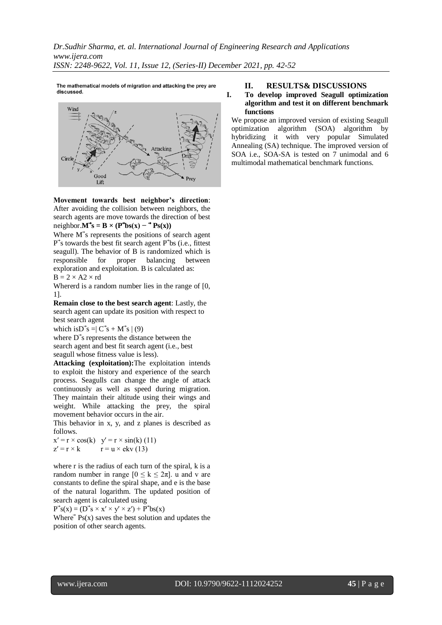The mathematical models of migration and attacking the prey are discussed.



**Movement towards best neighbor's direction**: After avoiding the collision between neighbors, the search agents are move towards the direction of best neighbor.**M**<sup> $\cdot$ </sup>**s** = **B** × (**P** $\cdot$ **bs**(**x**)  $-$ **<sup>** $\cdot$ **</sup><b>Ps**(**x**))

Where  $M$ 's represents the positions of search agent  $P^{\dagger}$ s towards the best fit search agent  $P^{\dagger}$ bs (i.e., fittest seagull). The behavior of B is randomized which is responsible for proper balancing between exploration and exploitation. B is calculated as:  $B = 2 \times A2 \times rd$ 

Whererd is a random number lies in the range of [0, 1].

**Remain close to the best search agent**: Lastly, the search agent can update its position with respect to best search agent

which isD<sup>3</sup>s =  $C^3s + M^3s$  (9)

where  $\overrightarrow{D}$ 's represents the distance between the search agent and best fit search agent (i.e., best seagull whose fitness value is less).

**Attacking (exploitation):**The exploitation intends to exploit the history and experience of the search process. Seagulls can change the angle of attack continuously as well as speed during migration. They maintain their altitude using their wings and weight. While attacking the prey, the spiral movement behavior occurs in the air.

This behavior in x, y, and z planes is described as follows.

 $x' = r \times cos(k)$   $y' = r \times sin(k)$  (11)  $z' = r \times k$   $r = u \times e k v (13)$ 

where r is the radius of each turn of the spiral, k is a random number in range  $[0 \le k \le 2\pi]$ . u and v are constants to define the spiral shape, and e is the base of the natural logarithm. The updated position of search agent is calculated using

 $P^{\rightarrow} s(x) = (D^{\rightarrow} s \times x' \times y' \times z') + P^{\rightarrow} bs(x)$ 

Where  $\overrightarrow{P}$  Ps(x) saves the best solution and updates the position of other search agents.

#### **II. RESULTS& DISCUSSIONS**

#### **I. To develop improved Seagull optimization algorithm and test it on different benchmark functions**

We propose an improved version of existing Seagull optimization algorithm (SOA) algorithm by hybridizing it with very popular Simulated Annealing (SA) technique. The improved version of SOA i.e., SOA-SA is tested on 7 unimodal and 6 multimodal mathematical benchmark functions.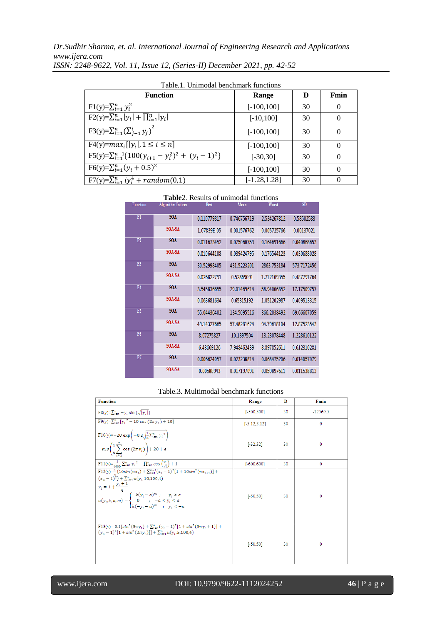| <b>Function</b>                                             | Range           | D  | Fmin     |
|-------------------------------------------------------------|-----------------|----|----------|
| $F1(y)=\sum_{i=1}^n y_i^2$                                  | $[-100, 100]$   | 30 | $\Omega$ |
| $F2(y)=\sum_{i=1}^n  y_i  + \prod_{i=1}^n  y_i $            | $[-10, 100]$    | 30 | $\Omega$ |
| $F3(y)=\sum_{i=1}^n(\sum_{j=1}^i y_j)^2$                    | $[-100, 100]$   | 30 | $\Omega$ |
| $F4(y)=max_i[ y_i , 1 \le i \le n]$                         | $[-100, 100]$   | 30 | $\Omega$ |
| $F5(y)=\sum_{i=1}^{n-1} \{100(y_{i+1}-y_i^2)^2+(y_i-1)^2\}$ | $[-30, 30]$     | 30 | 0        |
| $F6(y)=\sum_{i=1}^{n}(y_i+0.5)^2$                           | $[-100, 100]$   | 30 | $\Omega$ |
| $F7(y)=\sum_{i=1}^n iy_i^4 + random(0,1)$                   | $[-1.28, 1.28]$ | 30 |          |

| Table.1. Unimodal benchmark functions |  |  |
|---------------------------------------|--|--|
|---------------------------------------|--|--|

|  |  |  |  | <b>Table</b> 2. Results of unimodal functions |
|--|--|--|--|-----------------------------------------------|
|--|--|--|--|-----------------------------------------------|

| <b>Function</b> | <b>Algorithm Indices</b> | <b>Best</b> | Mean        | Worst       | SD          |
|-----------------|--------------------------|-------------|-------------|-------------|-------------|
| $\overline{F1}$ | <b>SOA</b>               | 0.110779817 | 0.746756719 | 2.534267812 | 0.58502583  |
|                 | SOA-SA                   | 1.07839E-05 | 0.001576762 | 0.005725766 | 0.00137021  |
| F2              | <b>SOA</b>               | 0.011673452 | 0.075060759 | 0.164691666 | 0.040868653 |
|                 | SOA-SA                   | 0.010644108 | 0.039424795 | 0.176544123 | 0.030688028 |
| F3              | <b>SOA</b>               | 30.52998405 | 431.5223201 | 2863.753184 | 573.7172456 |
|                 | SOA-SA                   | 0.026822791 | 0.52869091  | 1.712109355 | 0.487791764 |
| F4              | <b>SOA</b>               | 3.545836655 | 29.01469614 | 58.94006852 | 17.17509757 |
|                 | SOA-SA                   | 0.063681634 | 0.65315192  | 1.051202987 | 0.409513315 |
| F5              | <b>SOA</b>               | 55.04436402 | 134.5095516 | 366.2038492 | 69.66607059 |
|                 | SOA-SA                   | 49.14327665 | 57.48281624 | 94.79618104 | 12.87523543 |
| F6              | <b>SOA</b>               | 8.07275827  | 10.1397504  | 13.23078448 | 1.228610122 |
|                 | SOA-SA                   | 6.43669126  | 7.948462439 | 8.897852611 | 0.612310281 |
| F7              | <b>SOA</b>               | 0.006624057 | 0.023238814 | 0.068475206 | 0.014057079 |
|                 | SOA-SA                   | 0.00588943  | 0.017197091 | 0.059897611 | 0.011538813 |

#### Table.3. Multimodal benchmark functions

| <b>Function</b>                                                                                                                                                                                                                                                                   | Range           | D  | Fmin         |
|-----------------------------------------------------------------------------------------------------------------------------------------------------------------------------------------------------------------------------------------------------------------------------------|-----------------|----|--------------|
| $F(0) = \sum_{i=1}^{n} -y_i \sin (\sqrt{ y_i })$                                                                                                                                                                                                                                  | $[-500, 500]$   | 30 | $-12569.5$   |
| $F9(y)=\sum_{i=1}^{n} [y_i^2 - 10 \cos(2\pi y_i) + 10]$                                                                                                                                                                                                                           | $[-5.12, 5.12]$ | 30 | $\mathbf{0}$ |
| F10(y)=-20 exp $\left(-0.2\sqrt{\frac{1}{n}\sum_{i=1}^{n} y_i^2}\right)$<br>$-exp\left(\frac{1}{n}\sum_{i=1}^{n}cos(2\pi y_i)\right) + 20 + e$                                                                                                                                    | $[-32.32]$      | 30 | $\Omega$     |
| $F11(y) = \frac{1}{4000} \sum_{i=1}^{n} y_i^2 - \prod_{i=1}^{n} \cos\left(\frac{y_i}{\sqrt{i}}\right) + 1$                                                                                                                                                                        | $[-600, 600]$   | 30 | $\mathbf{0}$ |
| $F12(y) = \frac{\pi}{2} \left\{ 10\sin(\pi x_1) + \sum_{i=1}^{n-1} (x_i - 1)^2 [1 + 10\sin^2(\pi x_{i+1})] + \right\}$<br>$(x_n - 1)^2$ + $\sum_{i=1}^n u(y_i, 10, 100, 4)$<br>$x_i = 1 + \frac{y_i + 1}{4}$<br>$u(y_i,k,a,m)=\left\{\begin{matrix}k(y_i-a)^m&; &y_i>a\\ 0&; &-a$ | $[-50, 50]$     | 30 | 0            |
| F13(y)= $0.1\left\{ \sin^2(3\pi y_1) + \sum_{i=1}^n (y_i - 1)^2 [1 + \sin^2(3\pi y_i + 1)] + \right\}$<br>$(y_n-1)^2[1+sin^2(2\pi y_n)] + \sum_{i=1}^n u(y_i, 5,100,4)$                                                                                                           | $[ -50.50]$     | 30 | $\mathbf{0}$ |

# www.ijera.com DOI: 10.9790/9622-1112024252 **46** | P a g e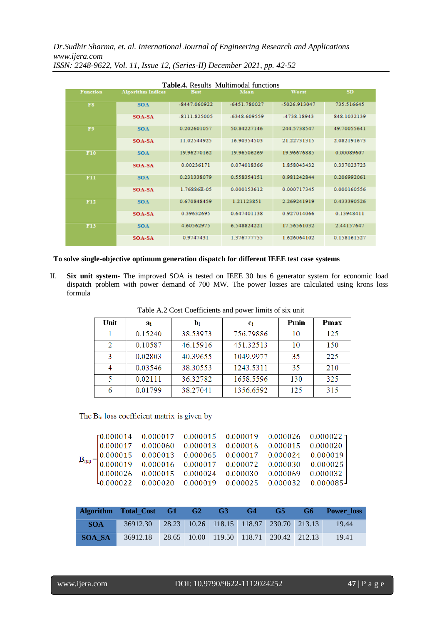| <b>Table.4.</b> Results Multimodal functions |                          |                |                |              |             |  |  |  |  |  |
|----------------------------------------------|--------------------------|----------------|----------------|--------------|-------------|--|--|--|--|--|
| <b>Function</b>                              | <b>Algorithm Indices</b> | <b>Best</b>    | Mean           | Worst        | <b>SD</b>   |  |  |  |  |  |
| <b>FS</b>                                    | <b>SOA</b>               | $-8447.060922$ | $-6451.780027$ | -5026.913047 | 735.516645  |  |  |  |  |  |
|                                              | SOA-SA                   | $-8111.825005$ | $-6348.609559$ | -4738.18943  | 848.1032139 |  |  |  |  |  |
| F9                                           | <b>SOA</b>               | 0.202601057    | 50.84227146    | 244.5738547  | 49.70055641 |  |  |  |  |  |
|                                              | SOA-SA                   | 11.02544925    | 16.90354503    | 21.22731315  | 2.082191673 |  |  |  |  |  |
| <b>F10</b>                                   | <b>SOA</b>               | 19.96270162    | 19.96506269    | 19.96676885  | 0.00089607  |  |  |  |  |  |
|                                              | SOA-SA                   | 0.00236171     | 0.074018366    | 1.858043432  | 0.337023723 |  |  |  |  |  |
| F11                                          | <b>SOA</b>               | 0.231338079    | 0.558354151    | 0.981242844  | 0.206992061 |  |  |  |  |  |
|                                              | SOA-SA                   | 1.76886E-05    | 0.000153612    | 0.000717345  | 0.000160556 |  |  |  |  |  |
| F12                                          | <b>SOA</b>               | 0.670848459    | 1.21123851     | 2.269241919  | 0.433390526 |  |  |  |  |  |
|                                              | SOA-SA                   | 0.39632695     | 0.647401138    | 0.927014066  | 0.13948411  |  |  |  |  |  |
| <b>F13</b>                                   | <b>SOA</b>               | 4.60562975     | 6.548824221    | 17.56561032  | 2.44157647  |  |  |  |  |  |
|                                              | SOA-SA                   | 0.9747431      | 1.376777755    | 1.626064102  | 0.158161527 |  |  |  |  |  |

**To solve single-objective optimum generation dispatch for different IEEE test case systems**

II. **Six unit system-** The improved SOA is tested on IEEE 30 bus 6 generator system for economic load dispatch problem with power demand of 700 MW. The power losses are calculated using krons loss formula

| Unit | ai      | Di       | Ci        | Pmin | Pmax |
|------|---------|----------|-----------|------|------|
|      | 0.15240 | 38.53973 | 756.79886 | 10   | 125  |
| 2    | 0.10587 | 46.15916 | 451.32513 | 10   | 150  |
| 3    | 0.02803 | 40.39655 | 1049.9977 | 35   | 225  |
| 4    | 0.03546 | 38.30553 | 1243.5311 | 35   | 210  |
| 5    | 0.02111 | 36.32782 | 1658.5596 | 130  | 325  |
| 6    | 0.01799 | 38.27041 | 1356.6592 | 125  | 315  |

Table A.2 Cost Coefficients and power limits of six unit

The B<sub>in</sub> loss coefficient matrix is given by

|  |  | ${\tiny \begin{bmatrix} 0.000014 & 0.000017 & 0.000015 & 0.000019 & 0.000026 & 0.000022\\ 0.000017 & 0.000060 & 0.000013 & 0.000016 & 0.000015 & 0.000020\\ 0.000015 & 0.000013 & 0.000065 & 0.000017 & 0.000024 & 0.000019\\ 0.000019 & 0.000016 & 0.000017 & 0$<br>$l_{0.000022}$ 0.000020 0.000019 0.000025 0.000032 0.000085 |
|--|--|----------------------------------------------------------------------------------------------------------------------------------------------------------------------------------------------------------------------------------------------------------------------------------------------------------------------------------|

|            | Algorithm Total_Cost G1 G2                       |  | G3 | G4 | G5                                      | G6 | <b>Power</b> loss |
|------------|--------------------------------------------------|--|----|----|-----------------------------------------|----|-------------------|
| <b>SOA</b> | 36912.30 28.23 10.26 118.15 118.97 230.70 213.13 |  |    |    |                                         |    | 19.44             |
| SOA SA     | 36912.18                                         |  |    |    | 28.65 10.00 119.50 118.71 230.42 212.13 |    | 19.41             |

www.ijera.com DOI: 10.9790/9622-1112024252 **47** | P a g e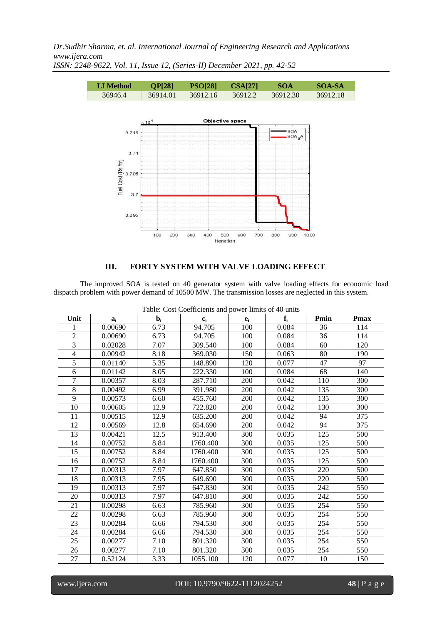*Dr.Sudhir Sharma, et. al. International Journal of Engineering Research and Applications www.ijera.com*



*ISSN: 2248-9622, Vol. 11, Issue 12, (Series-II) December 2021, pp. 42-52*

### **III. FORTY SYSTEM WITH VALVE LOADING EFFECT**

The improved SOA is tested on 40 generator system with valve loading effects for economic load dispatch problem with power demand of 10500 MW. The transmission losses are neglected in this system.

| Unit           | $a_i$   | $\mathbf{b}_{i}$ | $c_i$    | $e_i$ | $f_i$ | Pmin | <b>Pmax</b> |
|----------------|---------|------------------|----------|-------|-------|------|-------------|
| 1              | 0.00690 | 6.73             | 94.705   | 100   | 0.084 | 36   | 114         |
| $\overline{2}$ | 0.00690 | 6.73             | 94.705   | 100   | 0.084 | 36   | 114         |
| 3              | 0.02028 | 7.07             | 309.540  | 100   | 0.084 | 60   | 120         |
| $\overline{4}$ | 0.00942 | 8.18             | 369.030  | 150   | 0.063 | 80   | 190         |
| $\overline{5}$ | 0.01140 | 5.35             | 148.890  | 120   | 0.077 | 47   | 97          |
| 6              | 0.01142 | 8.05             | 222.330  | 100   | 0.084 | 68   | 140         |
| 7              | 0.00357 | 8.03             | 287.710  | 200   | 0.042 | 110  | 300         |
| $8\,$          | 0.00492 | 6.99             | 391.980  | 200   | 0.042 | 135  | 300         |
| 9              | 0.00573 | 6.60             | 455.760  | 200   | 0.042 | 135  | 300         |
| 10             | 0.00605 | 12.9             | 722.820  | 200   | 0.042 | 130  | 300         |
| 11             | 0.00515 | 12.9             | 635.200  | 200   | 0.042 | 94   | 375         |
| 12             | 0.00569 | 12.8             | 654.690  | 200   | 0.042 | 94   | 375         |
| 13             | 0.00421 | 12.5             | 913.400  | 300   | 0.035 | 125  | 500         |
| 14             | 0.00752 | 8.84             | 1760.400 | 300   | 0.035 | 125  | 500         |
| 15             | 0.00752 | 8.84             | 1760.400 | 300   | 0.035 | 125  | 500         |
| 16             | 0.00752 | 8.84             | 1760.400 | 300   | 0.035 | 125  | 500         |
| 17             | 0.00313 | 7.97             | 647.850  | 300   | 0.035 | 220  | 500         |
| 18             | 0.00313 | 7.95             | 649.690  | 300   | 0.035 | 220  | 500         |
| 19             | 0.00313 | 7.97             | 647.830  | 300   | 0.035 | 242  | 550         |
| 20             | 0.00313 | 7.97             | 647.810  | 300   | 0.035 | 242  | 550         |
| 21             | 0.00298 | 6.63             | 785.960  | 300   | 0.035 | 254  | 550         |
| 22             | 0.00298 | 6.63             | 785.960  | 300   | 0.035 | 254  | 550         |
| 23             | 0.00284 | 6.66             | 794.530  | 300   | 0.035 | 254  | 550         |
| 24             | 0.00284 | 6.66             | 794.530  | 300   | 0.035 | 254  | 550         |
| 25             | 0.00277 | 7.10             | 801.320  | 300   | 0.035 | 254  | 550         |
| 26             | 0.00277 | 7.10             | 801.320  | 300   | 0.035 | 254  | 550         |
| 27             | 0.52124 | 3.33             | 1055.100 | 120   | 0.077 | 10   | 150         |

Table: Cost Coefficients and power limits of 40 units

www.ijera.com DOI: 10.9790/9622-1112024252 **48** | P a g e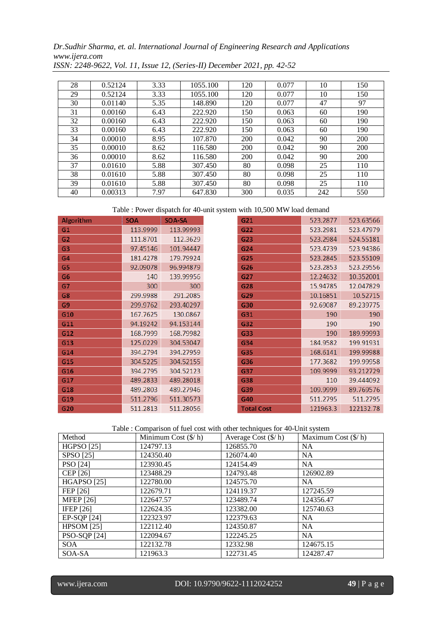*Dr.Sudhir Sharma, et. al. International Journal of Engineering Research and Applications www.ijera.com*

| 28 | 0.52124 | 3.33 | 1055.100 | 120 | 0.077 | 10  | 150 |
|----|---------|------|----------|-----|-------|-----|-----|
| 29 | 0.52124 | 3.33 | 1055.100 | 120 | 0.077 | 10  | 150 |
| 30 | 0.01140 | 5.35 | 148.890  | 120 | 0.077 | 47  | 97  |
| 31 | 0.00160 | 6.43 | 222.920  | 150 | 0.063 | 60  | 190 |
| 32 | 0.00160 | 6.43 | 222.920  | 150 | 0.063 | 60  | 190 |
| 33 | 0.00160 | 6.43 | 222.920  | 150 | 0.063 | 60  | 190 |
| 34 | 0.00010 | 8.95 | 107.870  | 200 | 0.042 | 90  | 200 |
| 35 | 0.00010 | 8.62 | 116.580  | 200 | 0.042 | 90  | 200 |
| 36 | 0.00010 | 8.62 | 116.580  | 200 | 0.042 | 90  | 200 |
| 37 | 0.01610 | 5.88 | 307.450  | 80  | 0.098 | 25  | 110 |
| 38 | 0.01610 | 5.88 | 307.450  | 80  | 0.098 | 25  | 110 |
| 39 | 0.01610 | 5.88 | 307.450  | 80  | 0.098 | 25  | 110 |
| 40 | 0.00313 | 7.97 | 647.830  | 300 | 0.035 | 242 | 550 |

*ISSN: 2248-9622, Vol. 11, Issue 12, (Series-II) December 2021, pp. 42-52*

Table : Power dispatch for 40-unit system with 10,500 MW load demand

| Algorithm      | <b>SOA</b> | SOA-SA    | G21               | 523.2877 | 523.63566 |
|----------------|------------|-----------|-------------------|----------|-----------|
| G1             | 113.9999   | 113.99993 | G22               | 523.2981 | 523.47979 |
| G2             | 111.8701   | 112.3629  | G23               | 523.2984 | 524.55181 |
| G <sub>3</sub> | 97.45146   | 101.94447 | G24               | 523.4739 | 523.94386 |
| G4             | 181.4278   | 179.79924 | G25               | 523.2845 | 523.55109 |
| G5             | 92.09078   | 96.994879 | G26               | 523.2853 | 523.29556 |
| G6             | 140        | 139.99956 | G27               | 12.24632 | 10.352001 |
| G7             | 300        | 300       | G28               | 15.94785 | 12.047829 |
| G8             | 299.9988   | 291.2085  | G29               | 10.16851 | 10.52715  |
| G <sub>9</sub> | 299.9762   | 293.40297 | G30               | 92.69087 | 89.239775 |
| G10            | 167.7625   | 130.0867  | G31               | 190      | 190       |
| G11            | 94.19242   | 94.153144 | G32               | 190      | 190       |
| G12            | 168.7999   | 168.79982 | G33               | 190      | 189.99993 |
| G13            | 125.0229   | 304.53047 | G34               | 184.9582 | 199.91931 |
| G14            | 394.2794   | 394.27959 | G35               | 168.6141 | 199.99988 |
| G15            | 304.5225   | 304.52155 | G36               | 177.3682 | 199.99958 |
| G16            | 394.2795   | 304.52123 | G37               | 109.9999 | 93.212729 |
| G17            | 489.2833   | 489.28018 | G38               | 110      | 39.444092 |
| G18            | 489.2803   | 489.27946 | G39               | 109.9999 | 89.769576 |
| G19            | 511.2796   | 511.30573 | G40               | 511.2795 | 511.2795  |
| G20            | 511.2813   | 511.28056 | <b>Total Cost</b> | 121963.3 | 122132.78 |

Table : Comparison of fuel cost with other techniques for 40-Unit system

| Method              | Minimum Cost $(\frac{6}{h})$ | Average Cost $(\frac{f}{h})$ | Maximum Cost (\$/ h) |
|---------------------|------------------------------|------------------------------|----------------------|
| <b>HGPSO</b> [25]   | 124797.13                    | 126855.70                    | <b>NA</b>            |
| SPSO [25]           | 124350.40                    | 126074.40                    | <b>NA</b>            |
| PSO [24]            | 123930.45                    | 124154.49                    | <b>NA</b>            |
| CEP [26]            | 123488.29                    | 124793.48                    | 126902.89            |
| <b>HGAPSO</b> [25]  | 122780.00                    | 124575.70                    | NA.                  |
| FEP [26]            | 122679.71                    | 124119.37                    | 127245.59            |
| <b>MFEP</b> [26]    | 122647.57                    | 123489.74                    | 124356.47            |
| IFEP $[26]$         | 122624.35                    | 123382.00                    | 125740.63            |
| EP-SQP [24]         | 122323.97                    | 122379.63                    | <b>NA</b>            |
| HPSOM $[25]$        | 122112.40                    | 124350.87                    | <b>NA</b>            |
| <b>PSO-SQP</b> [24] | 122094.67                    | 122245.25                    | <b>NA</b>            |
| SOA                 | 122132.78                    | 12332.98                     | 124675.15            |
| SOA-SA              | 121963.3                     | 122731.45                    | 124287.47            |

www.ijera.com DOI: 10.9790/9622-1112024252 **49** | P a g e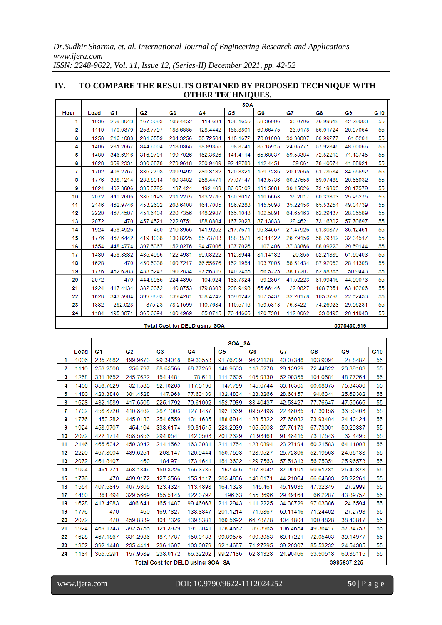# **IV. TO COMPARE THE RESULTS OBTAINED BY PROPOSED TECHNIQUE WITH OTHER TECHNIQUES.**

|      |      | <b>SOA</b>     |          |          |          |          |                |          |          |          |     |
|------|------|----------------|----------|----------|----------|----------|----------------|----------|----------|----------|-----|
| Hour | Load | G <sub>1</sub> | G2       | G3       | G4       | G5       | G <sub>6</sub> | G7       | G8       | G9       | G10 |
|      | 1036 | 259.8043       | 167.5093 | 109.4452 | 114.694  | 108.1655 | 58.36006       | 33.0706  | 76.99919 | 42.29003 | 55  |
| 2    | 1110 | 170.0379       | 253.7797 | 188.6885 | 128.4442 | 158.8801 | 69.66475       | 23.0178  | 56.01724 | 20.97064 | 55  |
| 3    | 1258 | 216.1083       | 281.6559 | 234.3256 | 88.72504 | 148.1672 | 78.01008       | 33.38807 | 60.99277 | 61.8204  | 55  |
| 4    | 1406 | 281.2667       | 344.6004 | 213.0365 | 98.89355 | 98.8741  | 85.15915       | 24.05771 | 57.92845 | 48.60066 | 55  |
| 5    | 1480 | 346.6916       | 316.9701 | 199.7026 | 152.3626 | 141.4114 | 65.68037       | 59.58384 | 72.52213 | 71.13745 | 55  |
| 6    | 1628 | 359.2331       | 330.6878 | 273.9618 | 230.9409 | 92.42783 | 112.4451       | 39.061   | 78.40674 | 41.88921 | 55  |
| 7    | 1702 | 408.2757       | 336.2798 | 239.9492 | 280.8132 | 120.3821 | 159.7236       | 20.12565 | 61.78684 | 34.65592 | 55  |
| 8    | 1776 | 388.1214       | 288.8014 | 160.3482 | 258.4471 | 77.07147 | 143.5736       | 60.27558 | 59.07488 | 20.55932 | 55  |
| 9    | 1924 | 402.8996       | 335.3795 | 137.424  | 192.403  | 86.05102 | 131.5981       | 30.45026 | 73.19803 | 28.17579 | 55  |
| 10   | 2072 | 440.2605       | 386.0193 | 231.2275 | 143.2745 | 160.3017 | 110.6668       | 35.2017  | 60.33303 | 25.95275 | 55  |
| 11   | 2146 | 462.9746       | 453.2602 | 268.6408 | 164.7005 | 186.9288 | 145.5098       | 35.22156 | 65.53254 | 49.04739 | 55  |
| 12   | 2220 | 467.4507       | 451.6404 | 220.7356 | 148.2987 | 165.1048 | 102.5891       | 64.65163 | 62.29437 | 28.05589 | 55  |
| 13.  | 2072 | 470            | 457.4521 | 222.9751 | 188.8804 | 167.2028 | 87.13033       | 29.4621  | 73.16302 | 57.70697 | 55  |
| 14   | 1924 | 468.4926       | 460      | 210.8956 | 141.9252 | 217.7671 | 96.84557       | 27.47926 | 61.80877 | 36.12461 | 55  |
| 15   | 1776 | 467.6442       | 419.1038 | 130.8225 | 85.73703 | 188.3571 | 60.11122       | 26.79156 | 58.79312 | 32.34517 | 55  |
| 16   | 1554 | 448.4774       | 397.5367 | 152.0276 | 94.47006 | 137.7026 | 107.406        | 37.88866 | 88.09223 | 29.59144 | 55  |
| 17   | 1480 | 468.8882       | 435.4956 | 122.4931 | 69.03222 | 112.8944 | 81.14182       | 20.865   | 52.21389 | 61.50403 | 55  |
| 18   | 1628 | 470            | 450.5338 | 160.7217 | 66.55676 | 152.1954 | 103.7005       | 58.51434 | 87.92053 | 28.41308 | 55  |
| 19   | 1776 | 462.6283       | 438.5247 | 190.2834 | 97.56319 | 140.2455 | 66.5225        | 38.17207 | 62.88365 | 50.9443  | 55  |
| 20   | 2072 | 470            | 444.6985 | 224.4395 | 104.024  | 183.7824 | 69.2367        | 41.52223 | 81.09416 | 44.90073 | 55  |
| 21   | 1924 | 417.4134       | 382.0362 | 140.8753 | 179.8303 | 208.9498 | 66.66146       | 22.0827  | 108.7351 | 63.10206 | 55  |
| 22   | 1628 | 343.5904       | 399.9893 | 139.4281 | 138.4242 | 159.6242 | 107.5437       | 32.20178 | 105.3798 | 22.52453 | 55  |
| 23   | 1332 | 262.023        | 375.28   | 78.21599 | 110.7684 | 110.5716 | 159.5313       | 76.84221 | 74.26923 | 29.96231 | 55  |
| 24   | 1184 | 195.3871       | 365.6694 | 100.4969 | 85.0715  | 76.44666 | 120.7501       | 112.0062 | 53.8493  | 20.11948 | 55  |
|      |      |                |          |          |          |          |                |          |          |          |     |

Total Cost for DELD using SOA

5075450.616

 $\overline{\phantom{a}}$ 

|                                  |      | SOA SA   |          |          |          |          |          |          |             |          |                 |  |
|----------------------------------|------|----------|----------|----------|----------|----------|----------|----------|-------------|----------|-----------------|--|
|                                  | Load | G1       | G2       | G3       | G4       | G5       | G6       | G7       | G8          | G9       | G <sub>10</sub> |  |
| 1                                | 1036 | 235.2882 | 199.9673 | 99.34018 | 89.33553 | 91.76709 | 96.21128 | 40.07348 | 103.9091    | 27.8482  | 55              |  |
| 2                                | 1110 | 253.2508 | 256.797  | 88.65566 | 68.77269 | 140.9603 | 118.5278 | 29.15929 | 72.44822    | 23.89183 | 55              |  |
| 3                                | 1258 | 331.8652 | 245.7622 | 154.4481 | 78.611   | 111.7605 | 105.9839 | 52.99355 | 101.0581    | 48.77264 | 55              |  |
| 4                                | 1406 | 358.7629 | 321.583  | 92.10263 | 117.5196 | 147.799  | 145.6744 | 33.16565 | 60.68675    | 75.84536 | 55              |  |
| 5                                | 1480 | 423.3848 | 381.4528 | 147.968  | 77.63189 | 132.4834 | 123.3266 | 28.68157 | 94.6341     | 25.69382 | 55              |  |
| 6                                | 1628 | 432.1589 | 417.6505 | 225.1792 | 79.61002 | 152.7989 | 88.40437 | 42.58427 | 77.76647    | 47.50666 | 55              |  |
| 7                                | 1702 | 458.8726 | 410.8462 | 287.7003 | 127.1437 | 192.1339 | 69.52498 | 22.48035 | 47.30158    | 33.50463 | 55              |  |
| 8                                | 1776 | 453.282  | 445.0183 | 254.6559 | 131.1685 | 188.6914 | 123.5322 | 27.65082 | 73.93404    | 24.40124 | 55              |  |
| 9                                | 1924 | 458.9707 | 454.104  | 333.6174 | 90.81515 | 223.2939 | 105.5003 | 27.76173 | 67.73001    | 50.29887 | 55              |  |
| 10                               | 2072 | 422.1714 | 458.5853 | 294.0541 | 142.0503 | 201.2329 | 71.93461 | 91.48415 | 73.17543    | 32.4495  | 55              |  |
| 11                               | 2146 | 465.6342 | 459.3942 | 214.1562 | 163.3981 | 211.1754 | 123.0894 | 23.27194 | 60.21583    | 64.11908 | 55              |  |
| 12                               | 2220 | 467.8004 | 439.6251 | 208.147  | 120.9444 | 150.7598 | 128.9527 | 25.72306 | 52.19568    | 24.65188 | 55              |  |
| 13                               | 2072 | 461.8407 | 460      | 184.971  | 173.4641 | 181.3602 | 129.7563 | 57.51313 | 56.75351    | 25.96573 | 55              |  |
| 14                               | 1924 | 461.771  | 458.1346 | 150.3226 | 165.3735 | 162.466  | 107.8042 | 37.90191 | 69.61781    | 25.49878 | 55              |  |
| 15                               | 1776 | 470      | 439.9172 | 127.5566 | 155.1117 | 205.4836 | 140.0171 | 44.21064 | 66.64603    | 28.22261 | 55              |  |
| 16                               | 1554 | 407.5845 | 407.5305 | 123.4324 | 113.4898 | 164.1328 | 145.461  | 45.19035 | 47.32345    | 27.2999  | 55              |  |
| 17                               | 1480 | 361.494  | 329.5669 | 155.5145 | 122.3792 | 196.63   | 155.3696 | 29.49164 | 66.2287     | 43.89752 | 55              |  |
| 18                               | 1628 | 413.4983 | 406.641  | 165.1487 | 99.46968 | 211.2943 | 111.2225 | 34.38729 | 97.03386    | 24.6594  | 55              |  |
| 19                               | 1776 | 470      | 460      | 169.7827 | 133.8347 | 201.1214 | 71.6867  | 69.11416 | 71.24402    | 27.2793  | 55              |  |
| 20                               | 2072 | 470      | 459.8339 | 101.7326 | 139.8381 | 160.5692 | 66.78778 | 104.1804 | 100.4828    | 38.40817 | 55              |  |
| 21                               | 1924 | 469.1743 | 392.5755 | 121.3929 | 191.3041 | 178.4662 | 89.3965  | 106.4654 | 49.36417    | 57.34753 | 55              |  |
| 22                               | 1628 | 467.1867 | 331.2986 | 187.7787 | 150.0183 | 99.89575 | 109.3053 | 69.17221 | 72.05403    | 39.14977 | 55              |  |
| 23                               | 1332 | 392.1448 | 235.4411 | 236.1607 | 103.0079 | 92.14687 | 71.27295 | 39.20307 | 85.53232    | 24.54385 | 55              |  |
| 24                               | 1184 | 365.5291 | 157.9589 | 238.0172 | 66.32202 | 99.27186 | 62.81328 | 24.90466 | 53.50518    | 60.35115 | 55              |  |
| Total Cost for DELD using SOA SA |      |          |          |          |          |          |          |          | 3995637.225 |          |                 |  |

www.ijera.com DOI: 10.9790/9622-1112024252 **50** | P a g e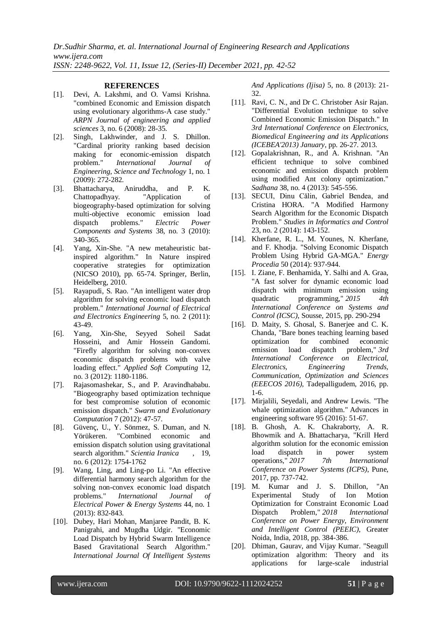#### **REFERENCES**

- [1]. Devi, A. Lakshmi, and O. Vamsi Krishna. "combined Economic and Emission dispatch using evolutionary algorithms-A case study." *ARPN Journal of engineering and applied sciences* 3, no. 6 (2008): 28-35.
- [2]. Singh, Lakhwinder, and J. S. Dhillon. "Cardinal priority ranking based decision making for economic-emission dispatch problem." *International Journal of Engineering, Science and Technology* 1, no. 1 (2009): 272-282.
- [3]. Bhattacharya, Aniruddha, and P. K. Chattopadhyay. "Application of biogeography-based optimization for solving multi-objective economic emission load dispatch problems." *Electric Power Components and Systems* 38, no. 3 (2010): 340-365.
- [4]. Yang, Xin-She. "A new metaheuristic batinspired algorithm." In Nature inspired cooperative strategies for optimization (NICSO 2010), pp. 65-74. Springer, Berlin, Heidelberg, 2010.
- [5]. Rayapudi, S. Rao. "An intelligent water drop algorithm for solving economic load dispatch problem." *International Journal of Electrical and Electronics Engineering* 5, no. 2 (2011): 43-49.
- [6]. Yang, Xin-She, Seyyed Soheil Sadat Hosseini, and Amir Hossein Gandomi. "Firefly algorithm for solving non-convex economic dispatch problems with valve loading effect." *Applied Soft Computing* 12, no. 3 (2012): 1180-1186.
- [7]. Rajasomashekar, S., and P. Aravindhababu. "Biogeography based optimization technique for best compromise solution of economic emission dispatch." *Swarm and Evolutionary Computation* 7 (2012): 47-57.
- [8]. Güvenç, U., Y. Sönmez, S. Duman, and N. Yörükeren. "Combined economic and emission dispatch solution using gravitational search algorithm." *Scientia Iranica* , 19, no. 6 (2012): 1754-1762
- [9]. Wang, Ling, and Ling-po Li. "An effective differential harmony search algorithm for the solving non-convex economic load dispatch problems." *International Journal of Electrical Power & Energy Systems* 44, no. 1 (2013): 832-843.
- [10]. Dubey, Hari Mohan, Manjaree Pandit, B. K. Panigrahi, and Mugdha Udgir. "Economic Load Dispatch by Hybrid Swarm Intelligence Based Gravitational Search Algorithm." *International Journal Of Intelligent Systems*

*And Applications (Ijisa)* 5, no. 8 (2013): 21- 32.

- [11]. Ravi, C. N., and Dr C. Christober Asir Raian. "Differential Evolution technique to solve Combined Economic Emission Dispatch." In *3rd International Conference on Electronics, Biomedical Engineering and its Applications (ICEBEA'2013) January*, pp. 26-27. 2013.
- [12]. Gopalakrishnan, R., and A. Krishnan. "An efficient technique to solve combined economic and emission dispatch problem using modified Ant colony optimization." *Sadhana* 38, no. 4 (2013): 545-556.
- [13]. SECUI, Dinu Călin, Gabriel Bendea, and Cristina HORA. "A Modified Harmony Search Algorithm for the Economic Dispatch Problem." *Studies in Informatics and Control* 23, no. 2 (2014): 143-152.
- [14]. Kherfane, R. L., M. Younes, N. Kherfane, and F. Khodja. "Solving Economic Dispatch Problem Using Hybrid GA-MGA." *Energy Procedia* 50 (2014): 937-944.
- [15]. I. Ziane, F. Benhamida, Y. Salhi and A. Graa, "A fast solver for dynamic economic load dispatch with minimum emission using quadratic programming," *2015 4th International Conference on Systems and Control (ICSC)*, Sousse, 2015, pp. 290-294
- [16]. D. Maity, S. Ghosal, S. Banerjee and C. K. Chanda, "Bare bones teaching learning based optimization for combined economic emission load dispatch problem," *3rd International Conference on Electrical, Electronics, Engineering Trends, Communication, Optimization and Sciences (EEECOS 2016)*, Tadepalligudem, 2016, pp. 1-6.
- [17]. Mirjalili, Seyedali, and Andrew Lewis. "The whale optimization algorithm." Advances in engineering software 95 (2016): 51-67.
- [18]. B. Ghosh, A. K. Chakraborty, A. R. Bhowmik and A. Bhattacharya, "Krill Herd algorithm solution for the economic emission<br>load dispatch in power system load dispatch in power system operations," *2017 7th International Conference on Power Systems (ICPS)*, Pune, 2017, pp. 737-742.
- [19]. M. Kumar and J. S. Dhillon, "An Experimental Study of Ion Motion Optimization for Constraint Economic Load Dispatch Problem," *2018 International Conference on Power Energy, Environment and Intelligent Control (PEEIC)*, Greater Noida, India, 2018, pp. 384-386.
- [20]. Dhiman, Gaurav, and Vijay Kumar. "Seagull optimization algorithm: Theory and its applications for large-scale industrial